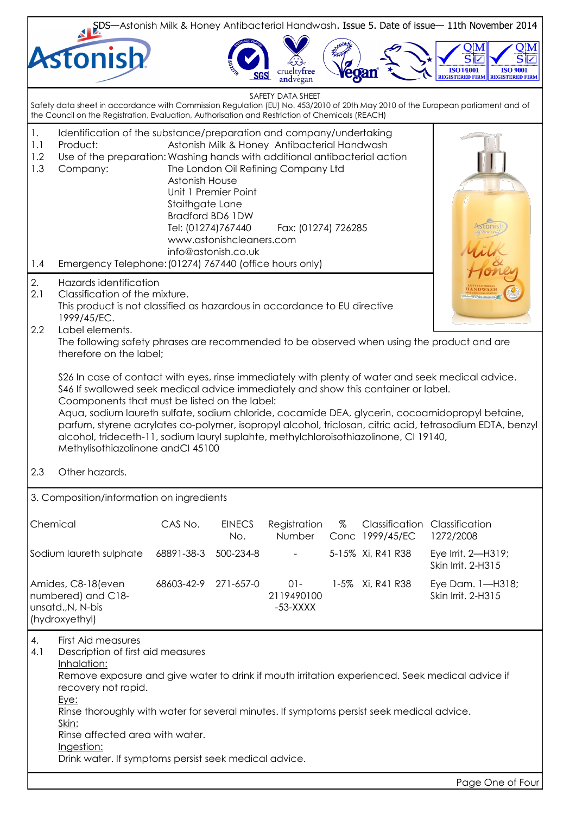| SDS—Astonish Milk & Honey Antibacterial Handwash. Issue 5. Date of issue—11th November 2014                                                                                                                                                                                                                                                                                                                                                  |                                                                                                                                                                                                                                                                                                                                                                                                                                                                                                                                                                                          |                                                         |                                                                                                    |                                                                                                            |      |                   |                                                                                                                                   |  |  |
|----------------------------------------------------------------------------------------------------------------------------------------------------------------------------------------------------------------------------------------------------------------------------------------------------------------------------------------------------------------------------------------------------------------------------------------------|------------------------------------------------------------------------------------------------------------------------------------------------------------------------------------------------------------------------------------------------------------------------------------------------------------------------------------------------------------------------------------------------------------------------------------------------------------------------------------------------------------------------------------------------------------------------------------------|---------------------------------------------------------|----------------------------------------------------------------------------------------------------|------------------------------------------------------------------------------------------------------------|------|-------------------|-----------------------------------------------------------------------------------------------------------------------------------|--|--|
|                                                                                                                                                                                                                                                                                                                                                                                                                                              | Astonish                                                                                                                                                                                                                                                                                                                                                                                                                                                                                                                                                                                 |                                                         |                                                                                                    | tyfree<br>andvegan                                                                                         |      | egan              | $\mathbf{S} \overline{\mathbf{V}}$<br>S<br><b>ISO14001</b><br><b>ISO 9001</b><br><b>REGISTERED FIRM</b><br><b>REGISTERED FIRM</b> |  |  |
|                                                                                                                                                                                                                                                                                                                                                                                                                                              | the Council on the Registration, Evaluation, Authorisation and Restriction of Chemicals (REACH)                                                                                                                                                                                                                                                                                                                                                                                                                                                                                          |                                                         |                                                                                                    | SAFETY DATA SHEET                                                                                          |      |                   | Safety data sheet in accordance with Commission Regulation (EU) No. 453/2010 of 20th May 2010 of the European parliament and of   |  |  |
| 1.<br>1.1<br>1.2<br>1.3<br>1.4                                                                                                                                                                                                                                                                                                                                                                                                               | Identification of the substance/preparation and company/undertaking<br>Product:<br>Use of the preparation: Washing hands with additional antibacterial action<br>Company:<br>Emergency Telephone: (01274) 767440 (office hours only)                                                                                                                                                                                                                                                                                                                                                     | Astonish House<br>Staithgate Lane<br>Tel: (01274)767440 | Unit 1 Premier Point<br><b>Bradford BD6 1DW</b><br>www.astonishcleaners.com<br>info@astonish.co.uk | Astonish Milk & Honey Antibacterial Handwash<br>The London Oil Refining Company Ltd<br>Fax: (01274) 726285 |      |                   |                                                                                                                                   |  |  |
| 2.<br>2.1<br>2.2                                                                                                                                                                                                                                                                                                                                                                                                                             | Hazards identification<br>Classification of the mixture.<br>This product is not classified as hazardous in accordance to EU directive<br>1999/45/EC.<br>Label elements.                                                                                                                                                                                                                                                                                                                                                                                                                  |                                                         |                                                                                                    |                                                                                                            |      |                   |                                                                                                                                   |  |  |
|                                                                                                                                                                                                                                                                                                                                                                                                                                              | The following safety phrases are recommended to be observed when using the product and are<br>therefore on the label;                                                                                                                                                                                                                                                                                                                                                                                                                                                                    |                                                         |                                                                                                    |                                                                                                            |      |                   |                                                                                                                                   |  |  |
|                                                                                                                                                                                                                                                                                                                                                                                                                                              | \$26 In case of contact with eyes, rinse immediately with plenty of water and seek medical advice.<br>\$46 If swallowed seek medical advice immediately and show this container or label.<br>Coomponents that must be listed on the label:<br>Aqua, sodium laureth sulfate, sodium chloride, cocamide DEA, glycerin, cocoamidopropyl betaine,<br>parfum, styrene acrylates co-polymer, isopropyl alcohol, triclosan, citric acid, tetrasodium EDTA, benzyl<br>alcohol, trideceth-11, sodium lauryl suplahte, methylchloroisothiazolinone, CI 19140,<br>Methylisothiazolinone andCl 45100 |                                                         |                                                                                                    |                                                                                                            |      |                   |                                                                                                                                   |  |  |
| 2.3                                                                                                                                                                                                                                                                                                                                                                                                                                          | Other hazards.                                                                                                                                                                                                                                                                                                                                                                                                                                                                                                                                                                           |                                                         |                                                                                                    |                                                                                                            |      |                   |                                                                                                                                   |  |  |
| 3. Composition/information on ingredients                                                                                                                                                                                                                                                                                                                                                                                                    |                                                                                                                                                                                                                                                                                                                                                                                                                                                                                                                                                                                          |                                                         |                                                                                                    |                                                                                                            |      |                   |                                                                                                                                   |  |  |
|                                                                                                                                                                                                                                                                                                                                                                                                                                              | Chemical                                                                                                                                                                                                                                                                                                                                                                                                                                                                                                                                                                                 | CAS No.                                                 | <b>EINECS</b><br>No.                                                                               | Registration<br>Number                                                                                     | $\%$ | Conc 1999/45/EC   | <b>Classification Classification</b><br>1272/2008                                                                                 |  |  |
|                                                                                                                                                                                                                                                                                                                                                                                                                                              | Sodium laureth sulphate                                                                                                                                                                                                                                                                                                                                                                                                                                                                                                                                                                  | 68891-38-3                                              | 500-234-8                                                                                          | $\blacksquare$                                                                                             |      | 5-15% Xi, R41 R38 | Eye Irrit. 2-H319;<br>Skin Irrit. 2-H315                                                                                          |  |  |
| 68603-42-9<br>1-5% Xi, R41 R38<br>Amides, C8-18(even<br>271-657-0<br>$01 -$<br>numbered) and C18-<br>2119490100<br>unsatd., N, N-bis<br>$-53-XXXX$<br>(hydroxyethyl)                                                                                                                                                                                                                                                                         |                                                                                                                                                                                                                                                                                                                                                                                                                                                                                                                                                                                          | Eye Dam. 1-H318;<br>Skin Irrit. 2-H315                  |                                                                                                    |                                                                                                            |      |                   |                                                                                                                                   |  |  |
| 4.<br><b>First Aid measures</b><br>4.1<br>Description of first aid measures<br>Inhalation:<br>Remove exposure and give water to drink if mouth irritation experienced. Seek medical advice if<br>recovery not rapid.<br>Eye:<br>Rinse thoroughly with water for several minutes. If symptoms persist seek medical advice.<br>Skin:<br>Rinse affected area with water.<br>Ingestion:<br>Drink water. If symptoms persist seek medical advice. |                                                                                                                                                                                                                                                                                                                                                                                                                                                                                                                                                                                          |                                                         |                                                                                                    |                                                                                                            |      |                   |                                                                                                                                   |  |  |
|                                                                                                                                                                                                                                                                                                                                                                                                                                              |                                                                                                                                                                                                                                                                                                                                                                                                                                                                                                                                                                                          |                                                         |                                                                                                    |                                                                                                            |      |                   | Page One of Four                                                                                                                  |  |  |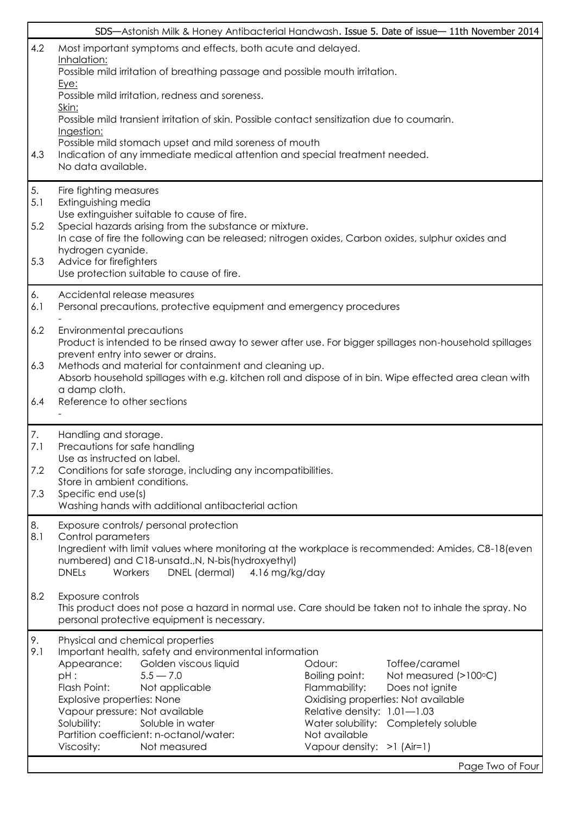|           |                                                                                                                                                                                                            | SDS-Astonish Milk & Honey Antibacterial Handwash. Issue 5. Date of issue-11th November 2014 |  |  |  |  |
|-----------|------------------------------------------------------------------------------------------------------------------------------------------------------------------------------------------------------------|---------------------------------------------------------------------------------------------|--|--|--|--|
| 4.2       | Most important symptoms and effects, both acute and delayed.                                                                                                                                               |                                                                                             |  |  |  |  |
|           | Inhalation:<br>Possible mild irritation of breathing passage and possible mouth irritation.<br><u>Eye:</u>                                                                                                 |                                                                                             |  |  |  |  |
|           | Possible mild irritation, redness and soreness.                                                                                                                                                            |                                                                                             |  |  |  |  |
|           | Skin:<br>Possible mild transient irritation of skin. Possible contact sensitization due to coumarin.<br>Ingestion:                                                                                         |                                                                                             |  |  |  |  |
| 4.3       | Possible mild stomach upset and mild soreness of mouth<br>Indication of any immediate medical attention and special treatment needed.<br>No data available.                                                |                                                                                             |  |  |  |  |
| 5.        |                                                                                                                                                                                                            |                                                                                             |  |  |  |  |
| 5.1       | Fire fighting measures<br>Extinguishing media                                                                                                                                                              |                                                                                             |  |  |  |  |
| 5.2       | Use extinguisher suitable to cause of fire.<br>Special hazards arising from the substance or mixture.<br>In case of fire the following can be released; nitrogen oxides, Carbon oxides, sulphur oxides and |                                                                                             |  |  |  |  |
| 5.3       | hydrogen cyanide.<br>Advice for firefighters                                                                                                                                                               |                                                                                             |  |  |  |  |
|           | Use protection suitable to cause of fire.                                                                                                                                                                  |                                                                                             |  |  |  |  |
| 6.<br>6.1 | Accidental release measures<br>Personal precautions, protective equipment and emergency procedures                                                                                                         |                                                                                             |  |  |  |  |
| 6.2       | Environmental precautions<br>Product is intended to be rinsed away to sewer after use. For bigger spillages non-household spillages                                                                        |                                                                                             |  |  |  |  |
| 6.3       | prevent entry into sewer or drains.<br>Methods and material for containment and cleaning up.<br>Absorb household spillages with e.g. kitchen roll and dispose of in bin. Wipe effected area clean with     |                                                                                             |  |  |  |  |
| 6.4       | a damp cloth.<br>Reference to other sections                                                                                                                                                               |                                                                                             |  |  |  |  |
|           |                                                                                                                                                                                                            |                                                                                             |  |  |  |  |
| 7.<br>7.1 | Handling and storage.<br>Precautions for safe handling                                                                                                                                                     |                                                                                             |  |  |  |  |
| 7.2       | Use as instructed on label.<br>Conditions for safe storage, including any incompatibilities.                                                                                                               |                                                                                             |  |  |  |  |
| 7.3       | Store in ambient conditions.<br>Specific end use(s)                                                                                                                                                        |                                                                                             |  |  |  |  |
|           | Washing hands with additional antibacterial action                                                                                                                                                         |                                                                                             |  |  |  |  |
| 8.<br>8.1 | Exposure controls/ personal protection<br>Control parameters                                                                                                                                               |                                                                                             |  |  |  |  |
|           | Ingredient with limit values where monitoring at the workplace is recommended: Amides, C8-18(even<br>numbered) and C18-unsatd., N, N-bis(hydroxyethyl)                                                     |                                                                                             |  |  |  |  |
|           | Workers<br>DNEL (dermal)<br><b>DNELs</b><br>4.16 mg/kg/day                                                                                                                                                 |                                                                                             |  |  |  |  |
| 8.2       | Exposure controls                                                                                                                                                                                          |                                                                                             |  |  |  |  |
|           | This product does not pose a hazard in normal use. Care should be taken not to inhale the spray. No<br>personal protective equipment is necessary.                                                         |                                                                                             |  |  |  |  |
| 9.<br>9.1 | Physical and chemical properties<br>Important health, safety and environmental information                                                                                                                 |                                                                                             |  |  |  |  |
|           | Appearance:<br>Golden viscous liquid                                                                                                                                                                       | Toffee/caramel<br>Odour:                                                                    |  |  |  |  |
|           | PH:<br>$5.5 - 7.0$<br>Flash Point:<br>Not applicable                                                                                                                                                       | <b>Boiling point:</b><br>Not measured (>100°C)<br>Flammability:<br>Does not ignite          |  |  |  |  |
|           | Explosive properties: None                                                                                                                                                                                 | Oxidising properties: Not available                                                         |  |  |  |  |
|           | Vapour pressure: Not available                                                                                                                                                                             | Relative density: 1.01-1.03                                                                 |  |  |  |  |
|           | Solubility:<br>Soluble in water<br>Partition coefficient: n-octanol/water:                                                                                                                                 | Water solubility: Completely soluble<br>Not available                                       |  |  |  |  |
|           | Viscosity:<br>Not measured                                                                                                                                                                                 | Vapour density: >1 (Air=1)                                                                  |  |  |  |  |
|           |                                                                                                                                                                                                            | Page Two of Four                                                                            |  |  |  |  |

 $\mathbf{r}$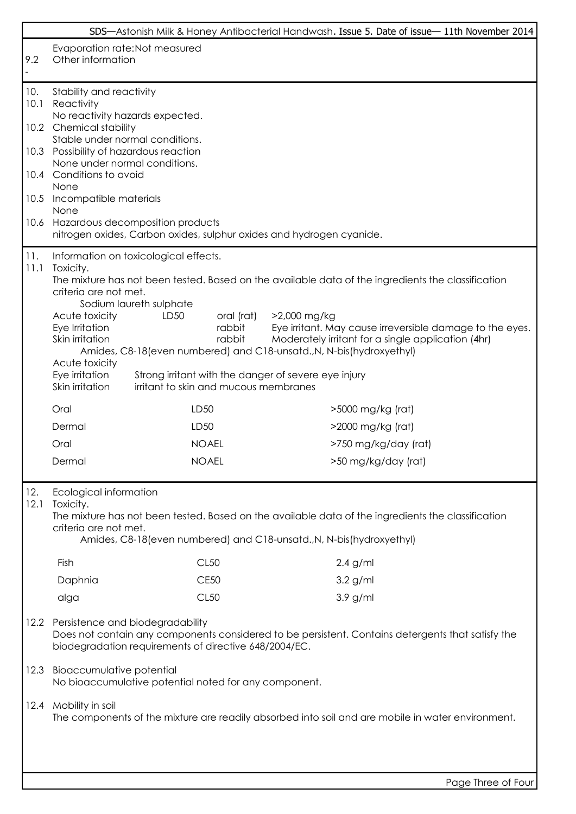| Evaporation rate: Not measured<br>9.2<br>Other information<br>Stability and reactivity<br>10.<br>10.1<br>Reactivity<br>No reactivity hazards expected.<br>10.2 Chemical stability<br>Stable under normal conditions.<br>10.3 Possibility of hazardous reaction<br>None under normal conditions.<br>10.4 Conditions to avoid<br>None<br>10.5<br>Incompatible materials<br>None<br>Hazardous decomposition products<br>10.6<br>nitrogen oxides, Carbon oxides, sulphur oxides and hydrogen cyanide.<br>11.<br>Information on toxicological effects.<br>11.1<br>Toxicity.<br>The mixture has not been tested. Based on the available data of the ingredients the classification<br>criteria are not met.<br>Sodium laureth sulphate<br>LD50<br>>2,000 mg/kg<br>Acute toxicity<br>oral (rat)<br>Eye Irritation<br>rabbit<br>rabbit<br>Skin irritation<br>Moderately irritant for a single application (4hr)<br>Amides, C8-18 (even numbered) and C18-unsatd., N, N-bis (hydroxyethyl)<br>Acute toxicity<br>Eye irritation<br>Strong irritant with the danger of severe eye injury<br>Skin irritation<br>irritant to skin and mucous membranes<br>LD50<br>Oral<br>>5000 mg/kg (rat)<br>LD50<br>Dermal<br>>2000 mg/kg (rat)<br>Oral<br><b>NOAEL</b><br>>750 mg/kg/day (rat)<br>Dermal<br><b>NOAEL</b><br>>50 mg/kg/day (rat)<br>12.<br>Ecological information<br>12.1<br>Toxicity.<br>The mixture has not been tested. Based on the available data of the ingredients the classification<br>criteria are not met.<br>Amides, C8-18 (even numbered) and C18-unsatd., N, N-bis (hydroxyethyl)<br>CL50<br>Fish<br>$2.4$ g/ml<br><b>CE50</b><br>$3.2$ g/ml<br>Daphnia<br><b>CL50</b><br>3.9 g/ml<br>alga<br>Persistence and biodegradability<br>12.2<br>Does not contain any components considered to be persistent. Contains detergents that satisfy the<br>biodegradation requirements of directive 648/2004/EC.<br><b>Bioaccumulative potential</b><br>12.3<br>No bioaccumulative potential noted for any component.<br>Mobility in soil<br>12.4<br>The components of the mixture are readily absorbed into soil and are mobile in water environment. |  |  | SDS-Astonish Milk & Honey Antibacterial Handwash. Issue 5. Date of issue-11th November 2014 |  |  |  |
|------------------------------------------------------------------------------------------------------------------------------------------------------------------------------------------------------------------------------------------------------------------------------------------------------------------------------------------------------------------------------------------------------------------------------------------------------------------------------------------------------------------------------------------------------------------------------------------------------------------------------------------------------------------------------------------------------------------------------------------------------------------------------------------------------------------------------------------------------------------------------------------------------------------------------------------------------------------------------------------------------------------------------------------------------------------------------------------------------------------------------------------------------------------------------------------------------------------------------------------------------------------------------------------------------------------------------------------------------------------------------------------------------------------------------------------------------------------------------------------------------------------------------------------------------------------------------------------------------------------------------------------------------------------------------------------------------------------------------------------------------------------------------------------------------------------------------------------------------------------------------------------------------------------------------------------------------------------------------------------------------------------------------------------------------------------------------------------------------------------------------------------------|--|--|---------------------------------------------------------------------------------------------|--|--|--|
|                                                                                                                                                                                                                                                                                                                                                                                                                                                                                                                                                                                                                                                                                                                                                                                                                                                                                                                                                                                                                                                                                                                                                                                                                                                                                                                                                                                                                                                                                                                                                                                                                                                                                                                                                                                                                                                                                                                                                                                                                                                                                                                                                |  |  |                                                                                             |  |  |  |
|                                                                                                                                                                                                                                                                                                                                                                                                                                                                                                                                                                                                                                                                                                                                                                                                                                                                                                                                                                                                                                                                                                                                                                                                                                                                                                                                                                                                                                                                                                                                                                                                                                                                                                                                                                                                                                                                                                                                                                                                                                                                                                                                                |  |  |                                                                                             |  |  |  |
|                                                                                                                                                                                                                                                                                                                                                                                                                                                                                                                                                                                                                                                                                                                                                                                                                                                                                                                                                                                                                                                                                                                                                                                                                                                                                                                                                                                                                                                                                                                                                                                                                                                                                                                                                                                                                                                                                                                                                                                                                                                                                                                                                |  |  |                                                                                             |  |  |  |
|                                                                                                                                                                                                                                                                                                                                                                                                                                                                                                                                                                                                                                                                                                                                                                                                                                                                                                                                                                                                                                                                                                                                                                                                                                                                                                                                                                                                                                                                                                                                                                                                                                                                                                                                                                                                                                                                                                                                                                                                                                                                                                                                                |  |  |                                                                                             |  |  |  |
|                                                                                                                                                                                                                                                                                                                                                                                                                                                                                                                                                                                                                                                                                                                                                                                                                                                                                                                                                                                                                                                                                                                                                                                                                                                                                                                                                                                                                                                                                                                                                                                                                                                                                                                                                                                                                                                                                                                                                                                                                                                                                                                                                |  |  |                                                                                             |  |  |  |
|                                                                                                                                                                                                                                                                                                                                                                                                                                                                                                                                                                                                                                                                                                                                                                                                                                                                                                                                                                                                                                                                                                                                                                                                                                                                                                                                                                                                                                                                                                                                                                                                                                                                                                                                                                                                                                                                                                                                                                                                                                                                                                                                                |  |  |                                                                                             |  |  |  |
|                                                                                                                                                                                                                                                                                                                                                                                                                                                                                                                                                                                                                                                                                                                                                                                                                                                                                                                                                                                                                                                                                                                                                                                                                                                                                                                                                                                                                                                                                                                                                                                                                                                                                                                                                                                                                                                                                                                                                                                                                                                                                                                                                |  |  |                                                                                             |  |  |  |
|                                                                                                                                                                                                                                                                                                                                                                                                                                                                                                                                                                                                                                                                                                                                                                                                                                                                                                                                                                                                                                                                                                                                                                                                                                                                                                                                                                                                                                                                                                                                                                                                                                                                                                                                                                                                                                                                                                                                                                                                                                                                                                                                                |  |  | Eye irritant. May cause irreversible damage to the eyes.                                    |  |  |  |
|                                                                                                                                                                                                                                                                                                                                                                                                                                                                                                                                                                                                                                                                                                                                                                                                                                                                                                                                                                                                                                                                                                                                                                                                                                                                                                                                                                                                                                                                                                                                                                                                                                                                                                                                                                                                                                                                                                                                                                                                                                                                                                                                                |  |  |                                                                                             |  |  |  |
|                                                                                                                                                                                                                                                                                                                                                                                                                                                                                                                                                                                                                                                                                                                                                                                                                                                                                                                                                                                                                                                                                                                                                                                                                                                                                                                                                                                                                                                                                                                                                                                                                                                                                                                                                                                                                                                                                                                                                                                                                                                                                                                                                |  |  |                                                                                             |  |  |  |
|                                                                                                                                                                                                                                                                                                                                                                                                                                                                                                                                                                                                                                                                                                                                                                                                                                                                                                                                                                                                                                                                                                                                                                                                                                                                                                                                                                                                                                                                                                                                                                                                                                                                                                                                                                                                                                                                                                                                                                                                                                                                                                                                                |  |  |                                                                                             |  |  |  |
|                                                                                                                                                                                                                                                                                                                                                                                                                                                                                                                                                                                                                                                                                                                                                                                                                                                                                                                                                                                                                                                                                                                                                                                                                                                                                                                                                                                                                                                                                                                                                                                                                                                                                                                                                                                                                                                                                                                                                                                                                                                                                                                                                |  |  |                                                                                             |  |  |  |
|                                                                                                                                                                                                                                                                                                                                                                                                                                                                                                                                                                                                                                                                                                                                                                                                                                                                                                                                                                                                                                                                                                                                                                                                                                                                                                                                                                                                                                                                                                                                                                                                                                                                                                                                                                                                                                                                                                                                                                                                                                                                                                                                                |  |  |                                                                                             |  |  |  |
|                                                                                                                                                                                                                                                                                                                                                                                                                                                                                                                                                                                                                                                                                                                                                                                                                                                                                                                                                                                                                                                                                                                                                                                                                                                                                                                                                                                                                                                                                                                                                                                                                                                                                                                                                                                                                                                                                                                                                                                                                                                                                                                                                |  |  |                                                                                             |  |  |  |
|                                                                                                                                                                                                                                                                                                                                                                                                                                                                                                                                                                                                                                                                                                                                                                                                                                                                                                                                                                                                                                                                                                                                                                                                                                                                                                                                                                                                                                                                                                                                                                                                                                                                                                                                                                                                                                                                                                                                                                                                                                                                                                                                                |  |  |                                                                                             |  |  |  |
|                                                                                                                                                                                                                                                                                                                                                                                                                                                                                                                                                                                                                                                                                                                                                                                                                                                                                                                                                                                                                                                                                                                                                                                                                                                                                                                                                                                                                                                                                                                                                                                                                                                                                                                                                                                                                                                                                                                                                                                                                                                                                                                                                |  |  |                                                                                             |  |  |  |
|                                                                                                                                                                                                                                                                                                                                                                                                                                                                                                                                                                                                                                                                                                                                                                                                                                                                                                                                                                                                                                                                                                                                                                                                                                                                                                                                                                                                                                                                                                                                                                                                                                                                                                                                                                                                                                                                                                                                                                                                                                                                                                                                                |  |  |                                                                                             |  |  |  |
|                                                                                                                                                                                                                                                                                                                                                                                                                                                                                                                                                                                                                                                                                                                                                                                                                                                                                                                                                                                                                                                                                                                                                                                                                                                                                                                                                                                                                                                                                                                                                                                                                                                                                                                                                                                                                                                                                                                                                                                                                                                                                                                                                |  |  |                                                                                             |  |  |  |
|                                                                                                                                                                                                                                                                                                                                                                                                                                                                                                                                                                                                                                                                                                                                                                                                                                                                                                                                                                                                                                                                                                                                                                                                                                                                                                                                                                                                                                                                                                                                                                                                                                                                                                                                                                                                                                                                                                                                                                                                                                                                                                                                                |  |  |                                                                                             |  |  |  |
|                                                                                                                                                                                                                                                                                                                                                                                                                                                                                                                                                                                                                                                                                                                                                                                                                                                                                                                                                                                                                                                                                                                                                                                                                                                                                                                                                                                                                                                                                                                                                                                                                                                                                                                                                                                                                                                                                                                                                                                                                                                                                                                                                |  |  |                                                                                             |  |  |  |